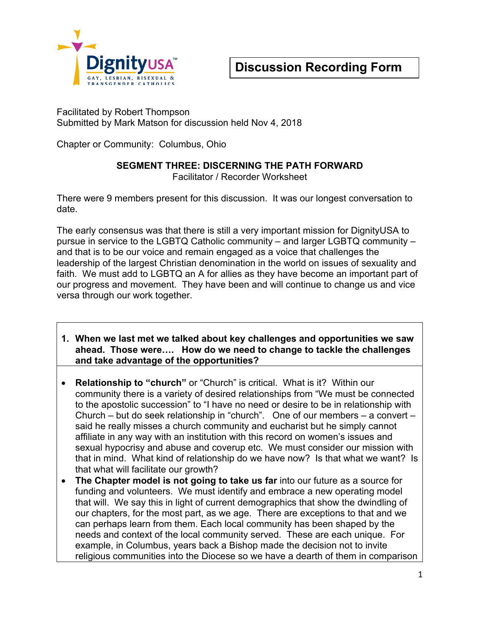

Facilitated by Robert Thompson Submitted by Mark Matson for discussion held Nov 4, 2018

Chapter or Community: Columbus, Ohio

#### **SEGMENT THREE: DISCERNING THE PATH FORWARD**

Facilitator / Recorder Worksheet

There were 9 members present for this discussion. It was our longest conversation to date.

The early consensus was that there is still a very important mission for DignityUSA to pursue in service to the LGBTQ Catholic community – and larger LGBTQ community – and that is to be our voice and remain engaged as a voice that challenges the leadership of the largest Christian denomination in the world on issues of sexuality and faith. We must add to LGBTQ an A for allies as they have become an important part of our progress and movement. They have been and will continue to change us and vice versa through our work together.

- **1. When we last met we talked about key challenges and opportunities we saw ahead. Those were…. How do we need to change to tackle the challenges and take advantage of the opportunities?**
- **Relationship to "church"** or "Church" is critical. What is it? Within our community there is a variety of desired relationships from "We must be connected to the apostolic succession" to "I have no need or desire to be in relationship with Church – but do seek relationship in "church". One of our members – a convert – said he really misses a church community and eucharist but he simply cannot affiliate in any way with an institution with this record on women's issues and sexual hypocrisy and abuse and coverup etc. We must consider our mission with that in mind. What kind of relationship do we have now? Is that what we want? Is that what will facilitate our growth?
- **The Chapter model is not going to take us far** into our future as a source for funding and volunteers. We must identify and embrace a new operating model that will. We say this in light of current demographics that show the dwindling of our chapters, for the most part, as we age. There are exceptions to that and we can perhaps learn from them. Each local community has been shaped by the needs and context of the local community served. These are each unique. For example, in Columbus, years back a Bishop made the decision not to invite religious communities into the Diocese so we have a dearth of them in comparison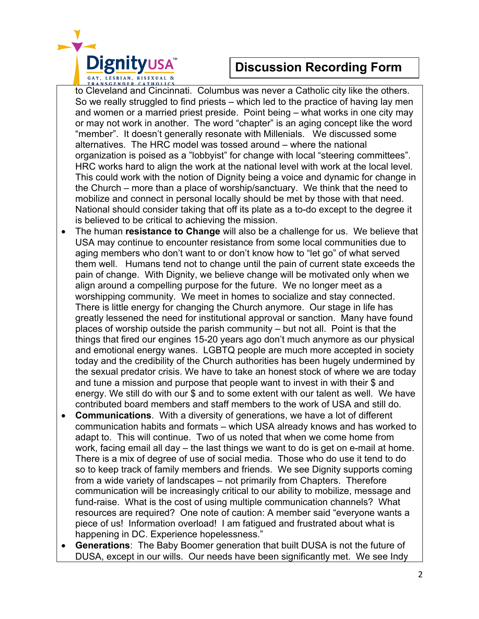

to Cleveland and Cincinnati. Columbus was never a Catholic city like the others. So we really struggled to find priests – which led to the practice of having lay men and women or a married priest preside. Point being – what works in one city may or may not work in another. The word "chapter" is an aging concept like the word "member". It doesn't generally resonate with Millenials. We discussed some alternatives. The HRC model was tossed around – where the national organization is poised as a "lobbyist" for change with local "steering committees". HRC works hard to align the work at the national level with work at the local level. This could work with the notion of Dignity being a voice and dynamic for change in the Church – more than a place of worship/sanctuary. We think that the need to mobilize and connect in personal locally should be met by those with that need. National should consider taking that off its plate as a to-do except to the degree it is believed to be critical to achieving the mission.

- The human **resistance to Change** will also be a challenge for us. We believe that USA may continue to encounter resistance from some local communities due to aging members who don't want to or don't know how to "let go" of what served them well. Humans tend not to change until the pain of current state exceeds the pain of change. With Dignity, we believe change will be motivated only when we align around a compelling purpose for the future. We no longer meet as a worshipping community. We meet in homes to socialize and stay connected. There is little energy for changing the Church anymore. Our stage in life has greatly lessened the need for institutional approval or sanction. Many have found places of worship outside the parish community – but not all. Point is that the things that fired our engines 15-20 years ago don't much anymore as our physical and emotional energy wanes. LGBTQ people are much more accepted in society today and the credibility of the Church authorities has been hugely undermined by the sexual predator crisis. We have to take an honest stock of where we are today and tune a mission and purpose that people want to invest in with their \$ and energy. We still do with our \$ and to some extent with our talent as well. We have contributed board members and staff members to the work of USA and still do.
- **Communications**. With a diversity of generations, we have a lot of different communication habits and formats – which USA already knows and has worked to adapt to. This will continue. Two of us noted that when we come home from work, facing email all day – the last things we want to do is get on e-mail at home. There is a mix of degree of use of social media. Those who do use it tend to do so to keep track of family members and friends. We see Dignity supports coming from a wide variety of landscapes – not primarily from Chapters. Therefore communication will be increasingly critical to our ability to mobilize, message and fund-raise. What is the cost of using multiple communication channels? What resources are required? One note of caution: A member said "everyone wants a piece of us! Information overload! I am fatigued and frustrated about what is happening in DC. Experience hopelessness."
- **Generations**: The Baby Boomer generation that built DUSA is not the future of DUSA, except in our wills. Our needs have been significantly met. We see Indy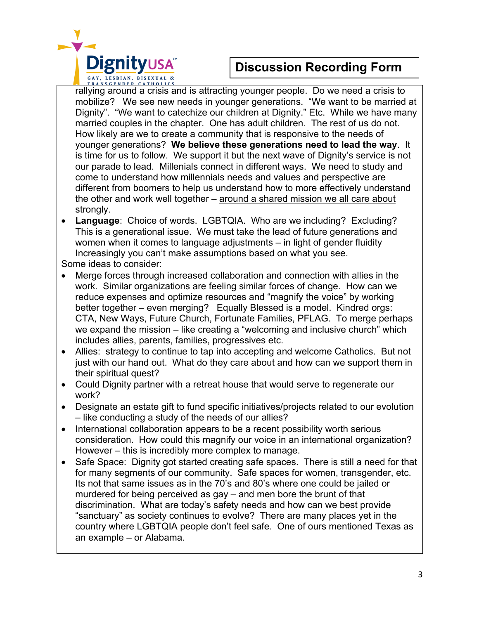

rallying around a crisis and is attracting younger people. Do we need a crisis to mobilize? We see new needs in younger generations. "We want to be married at Dignity". "We want to catechize our children at Dignity." Etc. While we have many married couples in the chapter. One has adult children. The rest of us do not. How likely are we to create a community that is responsive to the needs of younger generations? **We believe these generations need to lead the way**. It is time for us to follow. We support it but the next wave of Dignity's service is not our parade to lead. Millenials connect in different ways. We need to study and come to understand how millennials needs and values and perspective are different from boomers to help us understand how to more effectively understand the other and work well together – around a shared mission we all care about strongly.

• **Language**: Choice of words. LGBTQIA. Who are we including? Excluding? This is a generational issue. We must take the lead of future generations and women when it comes to language adjustments – in light of gender fluidity Increasingly you can't make assumptions based on what you see.

Some ideas to consider:

- Merge forces through increased collaboration and connection with allies in the work. Similar organizations are feeling similar forces of change. How can we reduce expenses and optimize resources and "magnify the voice" by working better together – even merging? Equally Blessed is a model. Kindred orgs: CTA, New Ways, Future Church, Fortunate Families, PFLAG. To merge perhaps we expand the mission – like creating a "welcoming and inclusive church" which includes allies, parents, families, progressives etc.
- Allies: strategy to continue to tap into accepting and welcome Catholics. But not just with our hand out. What do they care about and how can we support them in their spiritual quest?
- Could Dignity partner with a retreat house that would serve to regenerate our work?
- Designate an estate gift to fund specific initiatives/projects related to our evolution – like conducting a study of the needs of our allies?
- International collaboration appears to be a recent possibility worth serious consideration. How could this magnify our voice in an international organization? However – this is incredibly more complex to manage.
- Safe Space: Dignity got started creating safe spaces. There is still a need for that for many segments of our community. Safe spaces for women, transgender, etc. Its not that same issues as in the 70's and 80's where one could be jailed or murdered for being perceived as gay – and men bore the brunt of that discrimination. What are today's safety needs and how can we best provide "sanctuary" as society continues to evolve? There are many places yet in the country where LGBTQIA people don't feel safe. One of ours mentioned Texas as an example – or Alabama.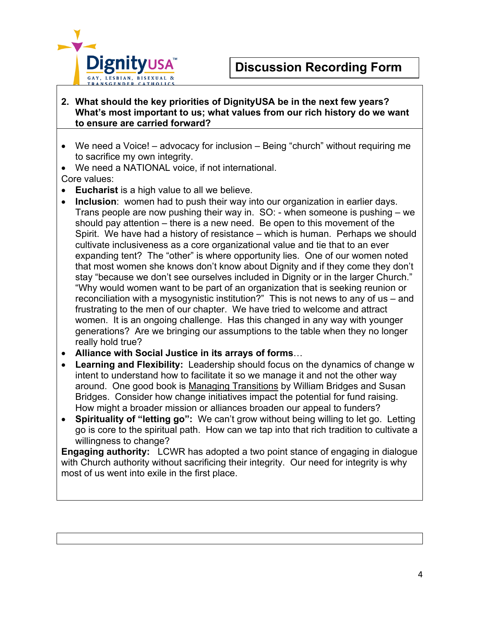

#### **2. What should the key priorities of DignityUSA be in the next few years? What's most important to us; what values from our rich history do we want to ensure are carried forward?**

- We need a Voice! advocacy for inclusion Being "church" without requiring me to sacrifice my own integrity.
- We need a NATIONAL voice, if not international.

Core values:

- **Eucharist** is a high value to all we believe.
- **Inclusion**: women had to push their way into our organization in earlier days. Trans people are now pushing their way in. SO: - when someone is pushing – we should pay attention – there is a new need. Be open to this movement of the Spirit. We have had a history of resistance – which is human. Perhaps we should cultivate inclusiveness as a core organizational value and tie that to an ever expanding tent? The "other" is where opportunity lies. One of our women noted that most women she knows don't know about Dignity and if they come they don't stay "because we don't see ourselves included in Dignity or in the larger Church." "Why would women want to be part of an organization that is seeking reunion or reconciliation with a mysogynistic institution?" This is not news to any of us – and frustrating to the men of our chapter. We have tried to welcome and attract women. It is an ongoing challenge. Has this changed in any way with younger generations? Are we bringing our assumptions to the table when they no longer really hold true?
- **Alliance with Social Justice in its arrays of forms**…
- **Learning and Flexibility:** Leadership should focus on the dynamics of change w intent to understand how to facilitate it so we manage it and not the other way around. One good book is Managing Transitions by William Bridges and Susan Bridges. Consider how change initiatives impact the potential for fund raising. How might a broader mission or alliances broaden our appeal to funders?
- **Spirituality of "letting go":** We can't grow without being willing to let go. Letting go is core to the spiritual path. How can we tap into that rich tradition to cultivate a willingness to change?

**Engaging authority:** LCWR has adopted a two point stance of engaging in dialogue with Church authority without sacrificing their integrity. Our need for integrity is why most of us went into exile in the first place.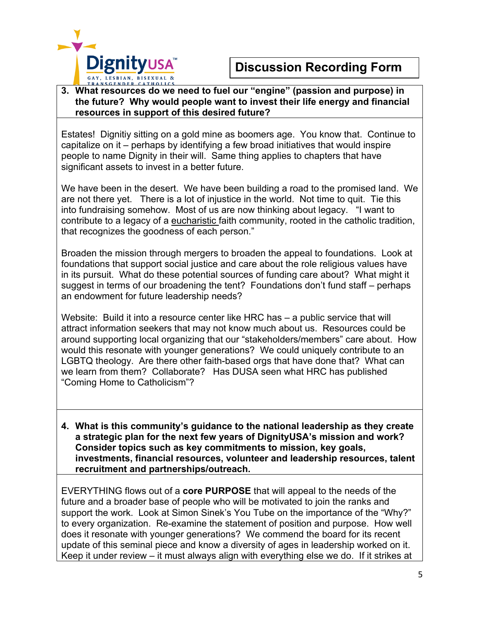

#### **3. What resources do we need to fuel our "engine" (passion and purpose) in the future? Why would people want to invest their life energy and financial resources in support of this desired future?**

Estates! Dignitiy sitting on a gold mine as boomers age. You know that. Continue to capitalize on it – perhaps by identifying a few broad initiatives that would inspire people to name Dignity in their will. Same thing applies to chapters that have significant assets to invest in a better future.

We have been in the desert. We have been building a road to the promised land. We are not there yet. There is a lot of injustice in the world. Not time to quit. Tie this into fundraising somehow. Most of us are now thinking about legacy. "I want to contribute to a legacy of a eucharistic faith community, rooted in the catholic tradition, that recognizes the goodness of each person."

Broaden the mission through mergers to broaden the appeal to foundations. Look at foundations that support social justice and care about the role religious values have in its pursuit. What do these potential sources of funding care about? What might it suggest in terms of our broadening the tent? Foundations don't fund staff – perhaps an endowment for future leadership needs?

Website: Build it into a resource center like HRC has – a public service that will attract information seekers that may not know much about us. Resources could be around supporting local organizing that our "stakeholders/members" care about. How would this resonate with younger generations? We could uniquely contribute to an LGBTQ theology. Are there other faith-based orgs that have done that? What can we learn from them? Collaborate? Has DUSA seen what HRC has published "Coming Home to Catholicism"?

**4. What is this community's guidance to the national leadership as they create a strategic plan for the next few years of DignityUSA's mission and work? Consider topics such as key commitments to mission, key goals, investments, financial resources, volunteer and leadership resources, talent recruitment and partnerships/outreach.**

EVERYTHING flows out of a **core PURPOSE** that will appeal to the needs of the future and a broader base of people who will be motivated to join the ranks and support the work. Look at Simon Sinek's You Tube on the importance of the "Why?" to every organization. Re-examine the statement of position and purpose. How well does it resonate with younger generations? We commend the board for its recent update of this seminal piece and know a diversity of ages in leadership worked on it. Keep it under review – it must always align with everything else we do. If it strikes at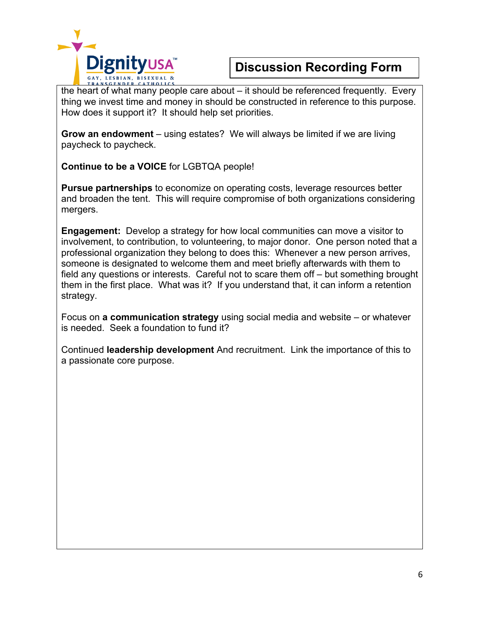

the heart of what many people care about – it should be referenced frequently. Every thing we invest time and money in should be constructed in reference to this purpose. How does it support it? It should help set priorities.

**Grow an endowment** – using estates? We will always be limited if we are living paycheck to paycheck.

**Continue to be a VOICE** for LGBTQA people!

**Pursue partnerships** to economize on operating costs, leverage resources better and broaden the tent. This will require compromise of both organizations considering mergers.

**Engagement:** Develop a strategy for how local communities can move a visitor to involvement, to contribution, to volunteering, to major donor. One person noted that a professional organization they belong to does this: Whenever a new person arrives, someone is designated to welcome them and meet briefly afterwards with them to field any questions or interests. Careful not to scare them off – but something brought them in the first place. What was it? If you understand that, it can inform a retention strategy.

Focus on **a communication strategy** using social media and website – or whatever is needed. Seek a foundation to fund it?

Continued **leadership development** And recruitment. Link the importance of this to a passionate core purpose.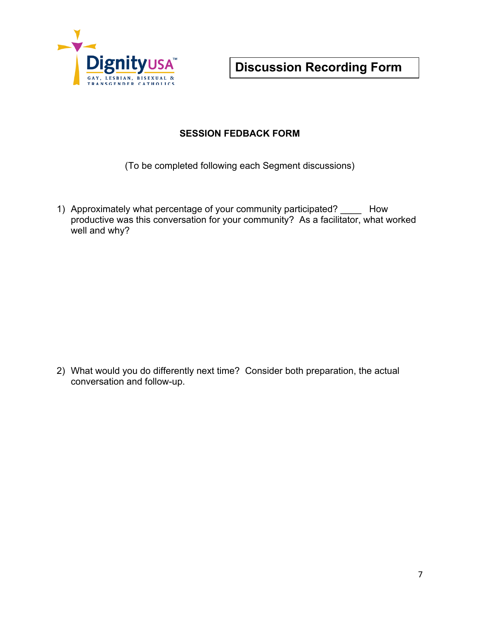

#### **SESSION FEDBACK FORM**

(To be completed following each Segment discussions)

1) Approximately what percentage of your community participated? \_\_\_\_ How productive was this conversation for your community? As a facilitator, what worked well and why?

2) What would you do differently next time? Consider both preparation, the actual conversation and follow-up.